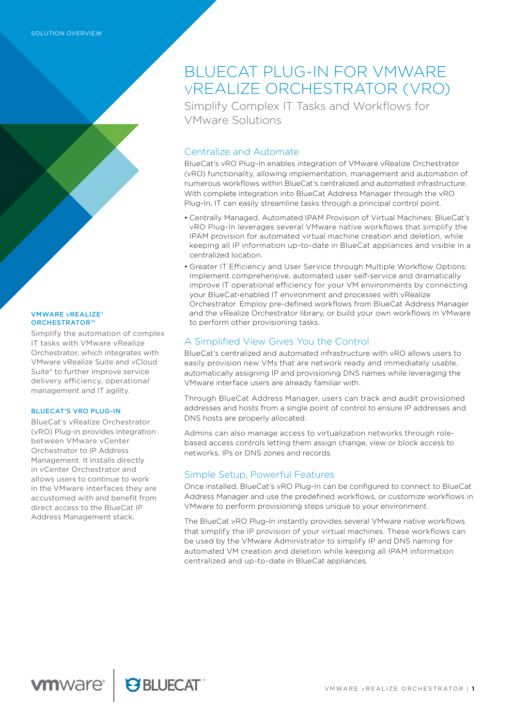#### VMWARE vREALIZE® ORCHESTRATOR™

Simplify the automation of complex IT tasks with VMware vRealize Orchestrator, which integrates with VMware vRealize Suite and vCloud Suite® to further improve service delivery efficiency, operational management and IT agility.

#### BLUECAT'S VRO PLUG-IN

BlueCat's vRealize Orchestrator (vRO) Plug-in provides integration between VMware vCenter Orchestrator to IP Address Management. It installs directly in vCenter Orchestrator and allows users to continue to work in the VMware interfaces they are accustomed with and benefit from direct access to the BlueCat IP Address Management stack.

# BLUECAT PLUG-IN FOR VMWARE vREALIZE ORCHESTRATOR (VRO)

Simplify Complex IT Tasks and Workflows for VMware Solutions

## Centralize and Automate

BlueCat's vRO Plug-In enables integration of VMware vRealize Orchestrator (vRO) functionality, allowing implementation, management and automation of numerous workflows within BlueCat's centralized and automated infrastructure. With complete integration into BlueCat Address Manager through the vRO Plug-In, IT can easily streamline tasks through a principal control point.

- Centrally Managed, Automated IPAM Provision of Virtual Machines: BlueCat's vRO Plug-In leverages several VMware native workflows that simplify the IPAM provision for automated virtual machine creation and deletion, while keeping all IP information up-to-date in BlueCat appliances and visible in a centralized location.
- Greater IT Efficiency and User Service through Multiple Workflow Options: Implement comprehensive, automated user self-service and dramatically improve IT operational efficiency for your VM environments by connecting your BlueCat-enabled IT environment and processes with vRealize Orchestrator. Employ pre-defined workflows from BlueCat Address Manager and the vRealize Orchestrator library, or build your own workflows in VMware to perform other provisioning tasks.

# A Simplified View Gives You the Control

BlueCat's centralized and automated infrastructure with vRO allows users to easily provision new VMs that are network ready and immediately usable, automatically assigning IP and provisioning DNS names while leveraging the VMware interface users are already familiar with.

Through BlueCat Address Manager, users can track and audit provisioned addresses and hosts from a single point of control to ensure IP addresses and DNS hosts are properly allocated.

Admins can also manage access to virtualization networks through rolebased access controls letting them assign change, view or block access to networks, IPs or DNS zones and records.

## Simple Setup, Powerful Features

Once installed, BlueCat's vRO Plug-In can be configured to connect to BlueCat Address Manager and use the predefined workflows, or customize workflows in VMware to perform provisioning steps unique to your environment.

The BlueCat vRO Plug-In instantly provides several VMware native workflows that simplify the IP provision of your virtual machines. These workflows can be used by the VMware Administrator to simplify IP and DNS naming for automated VM creation and deletion while keeping all IPAM information centralized and up-to-date in BlueCat appliances.